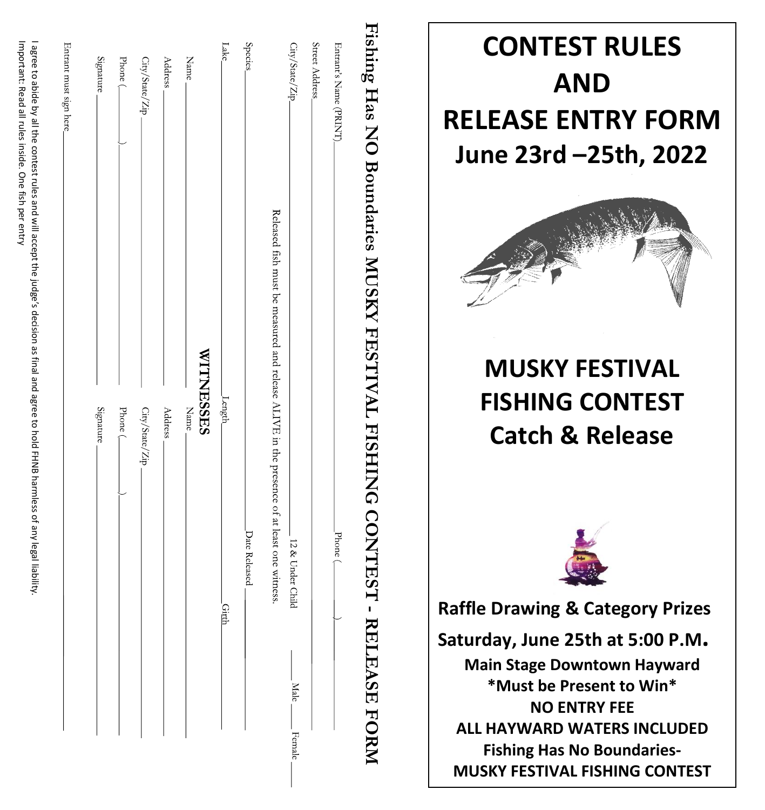| Entrant's Name (PRINT). | Phone (                                                                                   |
|-------------------------|-------------------------------------------------------------------------------------------|
| Street Address          |                                                                                           |
| City/State/Zip_         | 12 & Under<br>Child                                                                       |
|                         | Released fish must be measured and release ALIVE in the presence of at least one witness. |
| Species.                | Date Released                                                                             |
| Lake                    | Length_<br>Cimh                                                                           |
| $\mbox{Name}$           | <b>WITNESES</b><br>Name                                                                   |
| Address                 |                                                                                           |
|                         | Address.                                                                                  |
| City/State/Zip-         | $\mathrm{City}/\mathrm{State}/\mathrm{Zip}$                                               |
| Phone (                 | Phone $\sp($                                                                              |
| Signature               | Signature                                                                                 |
|                         |                                                                                           |

# **CONTEST RULES AND RELEASE ENTRY FORM June 23rd –25th, 2022 MUSKY FESTIVAL FISHING CONTEST Catch & Release Raffle Drawing & Category Prizes Saturday, June 25th at 5:00 P.M . Main Stage Downtown Hayward \*Must be Present to Win\* NO ENTRY FEE ALL HAYWARD WATERS INCLUDED Fishing Has No Boundaries -**

**MUSKY FESTIVAL FISHING CONTEST**